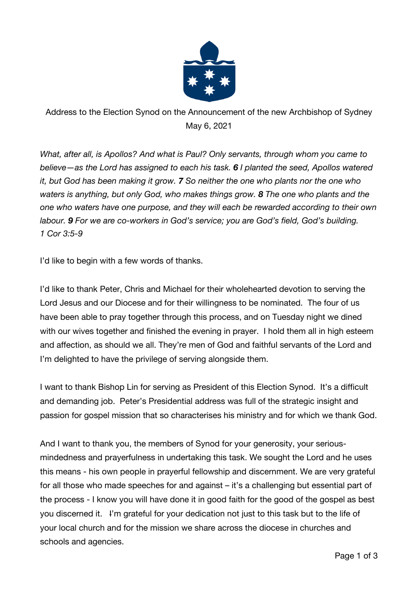

Address to the Election Synod on the Announcement of the new Archbishop of Sydney May 6, 2021

*What, after all, is Apollos? And what is Paul? Only servants, through whom you came to believe—as the Lord has assigned to each his task. 6 I planted the seed, Apollos watered it, but God has been making it grow. 7 So neither the one who plants nor the one who waters is anything, but only God, who makes things grow. 8 The one who plants and the one who waters have one purpose, and they will each be rewarded according to their own labour. 9 For we are co-workers in God's service; you are God's field, God's building. 1 Cor 3:5-9*

I'd like to begin with a few words of thanks.

I'd like to thank Peter, Chris and Michael for their wholehearted devotion to serving the Lord Jesus and our Diocese and for their willingness to be nominated. The four of us have been able to pray together through this process, and on Tuesday night we dined with our wives together and finished the evening in prayer. I hold them all in high esteem and affection, as should we all. They're men of God and faithful servants of the Lord and I'm delighted to have the privilege of serving alongside them.

I want to thank Bishop Lin for serving as President of this Election Synod. It's a difficult and demanding job. Peter's Presidential address was full of the strategic insight and passion for gospel mission that so characterises his ministry and for which we thank God.

And I want to thank you, the members of Synod for your generosity, your seriousmindedness and prayerfulness in undertaking this task. We sought the Lord and he uses this means - his own people in prayerful fellowship and discernment. We are very grateful for all those who made speeches for and against – it's a challenging but essential part of the process - I know you will have done it in good faith for the good of the gospel as best you discerned it. I'm grateful for your dedication not just to this task but to the life of your local church and for the mission we share across the diocese in churches and schools and agencies.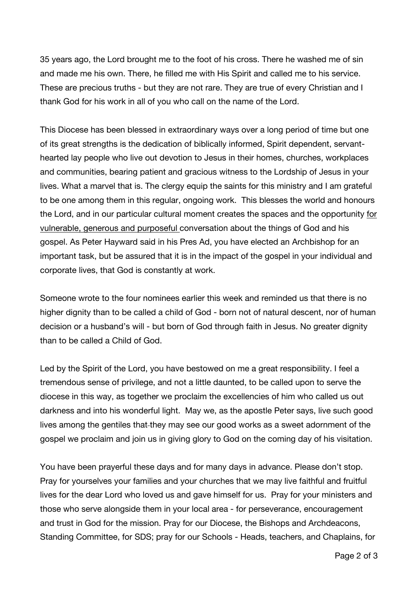35 years ago, the Lord brought me to the foot of his cross. There he washed me of sin and made me his own. There, he filled me with His Spirit and called me to his service. These are precious truths - but they are not rare. They are true of every Christian and I thank God for his work in all of you who call on the name of the Lord.

This Diocese has been blessed in extraordinary ways over a long period of time but one of its great strengths is the dedication of biblically informed, Spirit dependent, servanthearted lay people who live out devotion to Jesus in their homes, churches, workplaces and communities, bearing patient and gracious witness to the Lordship of Jesus in your lives. What a marvel that is. The clergy equip the saints for this ministry and I am grateful to be one among them in this regular, ongoing work. This blesses the world and honours the Lord, and in our particular cultural moment creates the spaces and the opportunity for vulnerable, generous and purposeful conversation about the things of God and his gospel. As Peter Hayward said in his Pres Ad, you have elected an Archbishop for an important task, but be assured that it is in the impact of the gospel in your individual and corporate lives, that God is constantly at work.

Someone wrote to the four nominees earlier this week and reminded us that there is no higher dignity than to be called a child of God - born not of natural descent, nor of human decision or a husband's will - but born of God through faith in Jesus. No greater dignity than to be called a Child of God.

Led by the Spirit of the Lord, you have bestowed on me a great responsibility. I feel a tremendous sense of privilege, and not a little daunted, to be called upon to serve the diocese in this way, as together we proclaim the excellencies of him who called us out darkness and into his wonderful light. May we, as the apostle Peter says, live such good lives among the gentiles that-they may see our good works as a sweet adornment of the gospel we proclaim and join us in giving glory to God on the coming day of his visitation.

You have been prayerful these days and for many days in advance. Please don't stop. Pray for yourselves your families and your churches that we may live faithful and fruitful lives for the dear Lord who loved us and gave himself for us. Pray for your ministers and those who serve alongside them in your local area - for perseverance, encouragement and trust in God for the mission. Pray for our Diocese, the Bishops and Archdeacons, Standing Committee, for SDS; pray for our Schools - Heads, teachers, and Chaplains, for